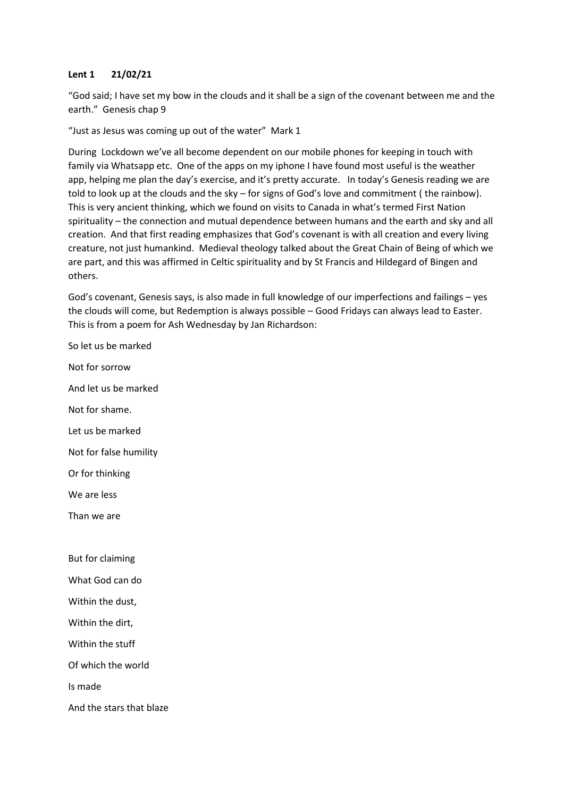## **Lent 1 21/02/21**

"God said; I have set my bow in the clouds and it shall be a sign of the covenant between me and the earth." Genesis chap 9

"Just as Jesus was coming up out of the water" Mark 1

During Lockdown we've all become dependent on our mobile phones for keeping in touch with family via Whatsapp etc. One of the apps on my iphone I have found most useful is the weather app, helping me plan the day's exercise, and it's pretty accurate. In today's Genesis reading we are told to look up at the clouds and the sky – for signs of God's love and commitment ( the rainbow). This is very ancient thinking, which we found on visits to Canada in what's termed First Nation spirituality – the connection and mutual dependence between humans and the earth and sky and all creation. And that first reading emphasizes that God's covenant is with all creation and every living creature, not just humankind. Medieval theology talked about the Great Chain of Being of which we are part, and this was affirmed in Celtic spirituality and by St Francis and Hildegard of Bingen and others.

God's covenant, Genesis says, is also made in full knowledge of our imperfections and failings – yes the clouds will come, but Redemption is always possible – Good Fridays can always lead to Easter. This is from a poem for Ash Wednesday by Jan Richardson:

So let us be marked Not for sorrow And let us be marked Not for shame. Let us be marked Not for false humility Or for thinking We are less Than we are But for claiming What God can do Within the dust, Within the dirt, Within the stuff Of which the world Is made And the stars that blaze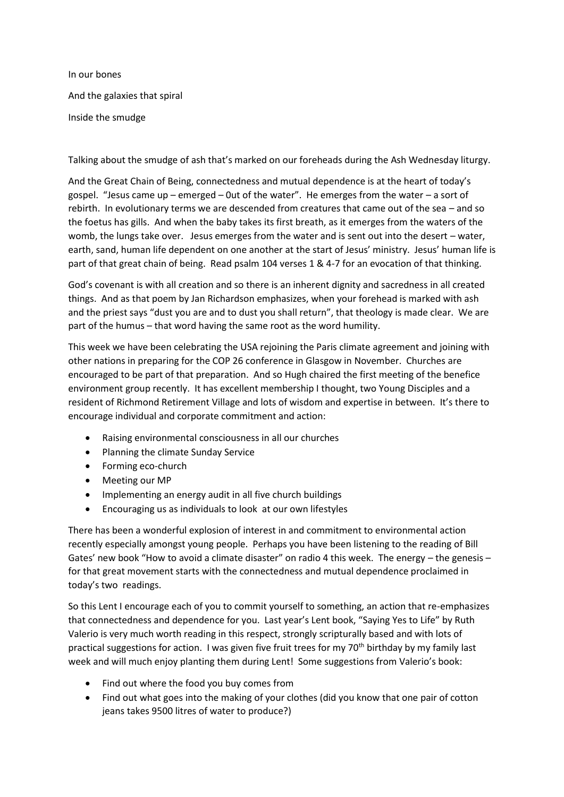In our bones And the galaxies that spiral Inside the smudge

Talking about the smudge of ash that's marked on our foreheads during the Ash Wednesday liturgy.

And the Great Chain of Being, connectedness and mutual dependence is at the heart of today's gospel. "Jesus came up – emerged – 0ut of the water". He emerges from the water – a sort of rebirth. In evolutionary terms we are descended from creatures that came out of the sea – and so the foetus has gills. And when the baby takes its first breath, as it emerges from the waters of the womb, the lungs take over. Jesus emerges from the water and is sent out into the desert – water, earth, sand, human life dependent on one another at the start of Jesus' ministry. Jesus' human life is part of that great chain of being. Read psalm 104 verses 1 & 4-7 for an evocation of that thinking.

God's covenant is with all creation and so there is an inherent dignity and sacredness in all created things. And as that poem by Jan Richardson emphasizes, when your forehead is marked with ash and the priest says "dust you are and to dust you shall return", that theology is made clear. We are part of the humus – that word having the same root as the word humility.

This week we have been celebrating the USA rejoining the Paris climate agreement and joining with other nations in preparing for the COP 26 conference in Glasgow in November. Churches are encouraged to be part of that preparation. And so Hugh chaired the first meeting of the benefice environment group recently. It has excellent membership I thought, two Young Disciples and a resident of Richmond Retirement Village and lots of wisdom and expertise in between. It's there to encourage individual and corporate commitment and action:

- Raising environmental consciousness in all our churches
- Planning the climate Sunday Service
- Forming eco-church
- Meeting our MP
- Implementing an energy audit in all five church buildings
- Encouraging us as individuals to look at our own lifestyles

There has been a wonderful explosion of interest in and commitment to environmental action recently especially amongst young people. Perhaps you have been listening to the reading of Bill Gates' new book "How to avoid a climate disaster" on radio 4 this week. The energy – the genesis – for that great movement starts with the connectedness and mutual dependence proclaimed in today's two readings.

So this Lent I encourage each of you to commit yourself to something, an action that re-emphasizes that connectedness and dependence for you. Last year's Lent book, "Saying Yes to Life" by Ruth Valerio is very much worth reading in this respect, strongly scripturally based and with lots of practical suggestions for action. I was given five fruit trees for my 70th birthday by my family last week and will much enjoy planting them during Lent! Some suggestions from Valerio's book:

- Find out where the food you buy comes from
- Find out what goes into the making of your clothes (did you know that one pair of cotton jeans takes 9500 litres of water to produce?)